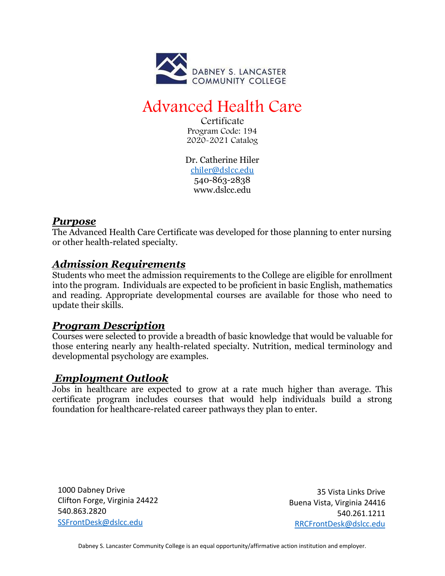

# Advanced Health Care

Certificate Program Code: 194 2020-2021 Catalog

Dr. Catherine Hiler [chiler@dslcc.edu](mailto:chiler@dslcc.edu) 540-863-2838 [www.dslcc.edu](http://www.dslcc.edu/)

#### *Purpose*

The Advanced Health Care Certificate was developed for those planning to enter nursing or other health-related specialty.

## *Admission Requirements*

Students who meet the admission requirements to the College are eligible for enrollment into the program. Individuals are expected to be proficient in basic English, mathematics and reading. Appropriate developmental courses are available for those who need to update their skills.

## *Program Description*

Courses were selected to provide a breadth of basic knowledge that would be valuable for those entering nearly any health-related specialty. Nutrition, medical terminology and developmental psychology are examples.

## *Employment Outlook*

Jobs in healthcare are expected to grow at a rate much higher than average. This certificate program includes courses that would help individuals build a strong foundation for healthcare-related career pathways they plan to enter.

1000 Dabney Drive Clifton Forge, Virginia 24422 540.863.2820 [SSFrontDesk@dslcc.edu](mailto:SSFrontDesk@dslcc.edu)

35 Vista Links Drive Buena Vista, Virginia 24416 540.261.1211 [RRCFrontDesk@dslcc.edu](mailto:RRCFrontDesk@dslcc.edu)

Dabney S. Lancaster Community College is an equal opportunity/affirmative action institution and employer.